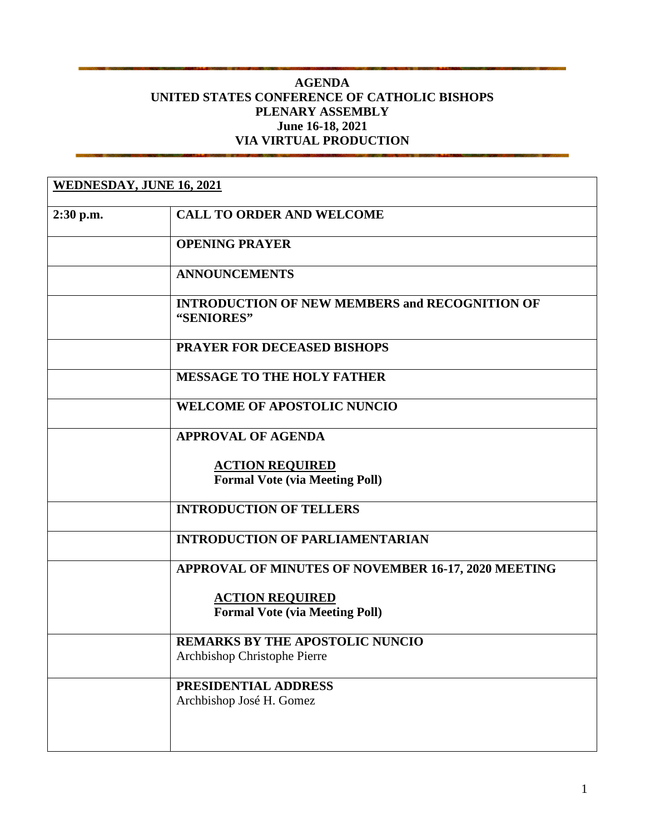## **AGENDA UNITED STATES CONFERENCE OF CATHOLIC BISHOPS PLENARY ASSEMBLY June 16-18, 2021 VIA VIRTUAL PRODUCTION**

| <b>WEDNESDAY, JUNE 16, 2021</b> |                                                                        |
|---------------------------------|------------------------------------------------------------------------|
| $2:30$ p.m.                     | <b>CALL TO ORDER AND WELCOME</b>                                       |
|                                 | <b>OPENING PRAYER</b>                                                  |
|                                 | <b>ANNOUNCEMENTS</b>                                                   |
|                                 | <b>INTRODUCTION OF NEW MEMBERS and RECOGNITION OF</b><br>"SENIORES"    |
|                                 | <b>PRAYER FOR DECEASED BISHOPS</b>                                     |
|                                 | <b>MESSAGE TO THE HOLY FATHER</b>                                      |
|                                 | <b>WELCOME OF APOSTOLIC NUNCIO</b>                                     |
|                                 | <b>APPROVAL OF AGENDA</b>                                              |
|                                 | <b>ACTION REQUIRED</b><br><b>Formal Vote (via Meeting Poll)</b>        |
|                                 | <b>INTRODUCTION OF TELLERS</b>                                         |
|                                 | <b>INTRODUCTION OF PARLIAMENTARIAN</b>                                 |
|                                 | APPROVAL OF MINUTES OF NOVEMBER 16-17, 2020 MEETING                    |
|                                 | <b>ACTION REQUIRED</b><br><b>Formal Vote (via Meeting Poll)</b>        |
|                                 | <b>REMARKS BY THE APOSTOLIC NUNCIO</b><br>Archbishop Christophe Pierre |
|                                 | PRESIDENTIAL ADDRESS<br>Archbishop José H. Gomez                       |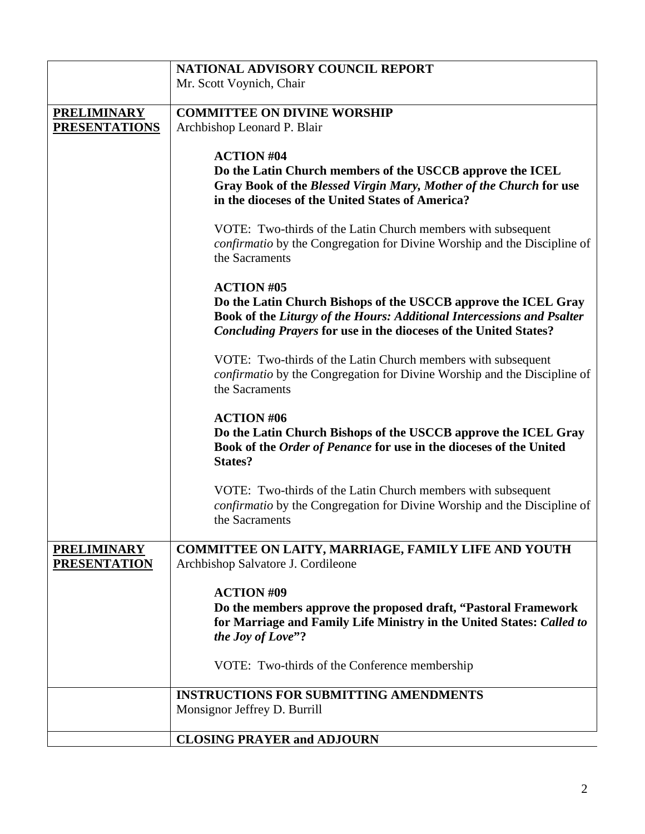|                                           | NATIONAL ADVISORY COUNCIL REPORT                                                                                                                                                                                                         |
|-------------------------------------------|------------------------------------------------------------------------------------------------------------------------------------------------------------------------------------------------------------------------------------------|
|                                           | Mr. Scott Voynich, Chair                                                                                                                                                                                                                 |
|                                           |                                                                                                                                                                                                                                          |
| <b>PRELIMINARY</b>                        | <b>COMMITTEE ON DIVINE WORSHIP</b>                                                                                                                                                                                                       |
| <b>PRESENTATIONS</b>                      | Archbishop Leonard P. Blair                                                                                                                                                                                                              |
|                                           | <b>ACTION #04</b>                                                                                                                                                                                                                        |
|                                           | Do the Latin Church members of the USCCB approve the ICEL<br>Gray Book of the Blessed Virgin Mary, Mother of the Church for use<br>in the dioceses of the United States of America?                                                      |
|                                           | VOTE: Two-thirds of the Latin Church members with subsequent<br><i>confirmatio</i> by the Congregation for Divine Worship and the Discipline of<br>the Sacraments                                                                        |
|                                           | <b>ACTION #05</b><br>Do the Latin Church Bishops of the USCCB approve the ICEL Gray<br>Book of the Liturgy of the Hours: Additional Intercessions and Psalter<br><b>Concluding Prayers for use in the dioceses of the United States?</b> |
|                                           | VOTE: Two-thirds of the Latin Church members with subsequent<br><i>confirmatio</i> by the Congregation for Divine Worship and the Discipline of<br>the Sacraments                                                                        |
|                                           | <b>ACTION #06</b><br>Do the Latin Church Bishops of the USCCB approve the ICEL Gray<br>Book of the Order of Penance for use in the dioceses of the United<br><b>States?</b>                                                              |
|                                           | VOTE: Two-thirds of the Latin Church members with subsequent<br><i>confirmatio</i> by the Congregation for Divine Worship and the Discipline of<br>the Sacraments                                                                        |
| <b>PRELIMINARY</b><br><b>PRESENTATION</b> | <b>COMMITTEE ON LAITY, MARRIAGE, FAMILY LIFE AND YOUTH</b><br>Archbishop Salvatore J. Cordileone                                                                                                                                         |
|                                           | <b>ACTION #09</b><br>Do the members approve the proposed draft, "Pastoral Framework"<br>for Marriage and Family Life Ministry in the United States: Called to<br>the Joy of Love"?                                                       |
|                                           | VOTE: Two-thirds of the Conference membership                                                                                                                                                                                            |
|                                           | <b>INSTRUCTIONS FOR SUBMITTING AMENDMENTS</b>                                                                                                                                                                                            |
|                                           | Monsignor Jeffrey D. Burrill                                                                                                                                                                                                             |
|                                           | <b>CLOSING PRAYER and ADJOURN</b>                                                                                                                                                                                                        |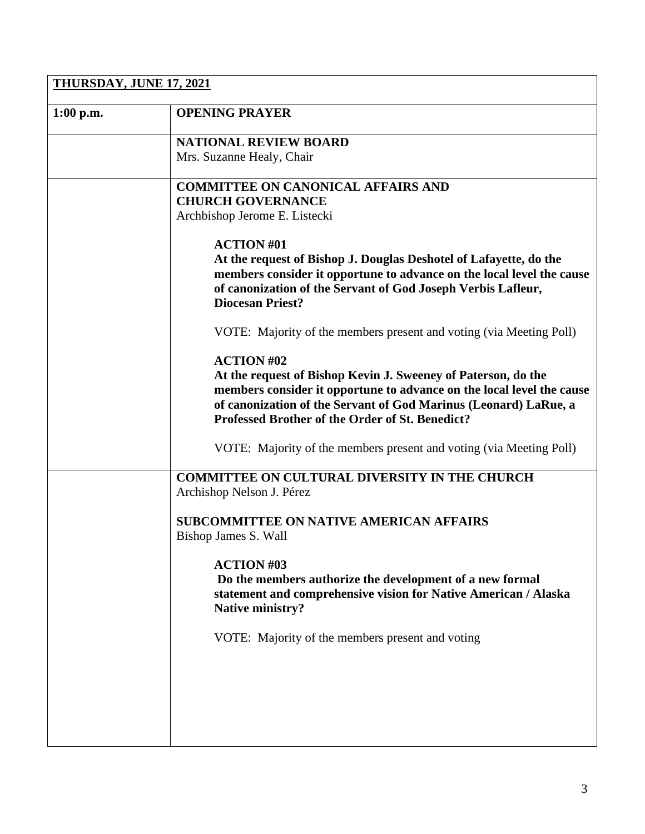| THURSDAY, JUNE 17, 2021 |                                                                                                                                                                                                                                                               |  |
|-------------------------|---------------------------------------------------------------------------------------------------------------------------------------------------------------------------------------------------------------------------------------------------------------|--|
| $1:00$ p.m.             | <b>OPENING PRAYER</b>                                                                                                                                                                                                                                         |  |
|                         | <b>NATIONAL REVIEW BOARD</b>                                                                                                                                                                                                                                  |  |
|                         | Mrs. Suzanne Healy, Chair                                                                                                                                                                                                                                     |  |
|                         | <b>COMMITTEE ON CANONICAL AFFAIRS AND</b>                                                                                                                                                                                                                     |  |
|                         | <b>CHURCH GOVERNANCE</b>                                                                                                                                                                                                                                      |  |
|                         | Archbishop Jerome E. Listecki                                                                                                                                                                                                                                 |  |
|                         | <b>ACTION #01</b>                                                                                                                                                                                                                                             |  |
|                         | At the request of Bishop J. Douglas Deshotel of Lafayette, do the<br>members consider it opportune to advance on the local level the cause<br>of canonization of the Servant of God Joseph Verbis Lafleur,<br><b>Diocesan Priest?</b>                         |  |
|                         | VOTE: Majority of the members present and voting (via Meeting Poll)                                                                                                                                                                                           |  |
|                         | <b>ACTION #02</b>                                                                                                                                                                                                                                             |  |
|                         | At the request of Bishop Kevin J. Sweeney of Paterson, do the<br>members consider it opportune to advance on the local level the cause<br>of canonization of the Servant of God Marinus (Leonard) LaRue, a<br>Professed Brother of the Order of St. Benedict? |  |
|                         | VOTE: Majority of the members present and voting (via Meeting Poll)                                                                                                                                                                                           |  |
|                         | <b>COMMITTEE ON CULTURAL DIVERSITY IN THE CHURCH</b><br>Archishop Nelson J. Pérez                                                                                                                                                                             |  |
|                         | <b>SUBCOMMITTEE ON NATIVE AMERICAN AFFAIRS</b><br>Bishop James S. Wall                                                                                                                                                                                        |  |
|                         | <b>ACTION #03</b><br>Do the members authorize the development of a new formal<br>statement and comprehensive vision for Native American / Alaska<br><b>Native ministry?</b>                                                                                   |  |
|                         | VOTE: Majority of the members present and voting                                                                                                                                                                                                              |  |
|                         |                                                                                                                                                                                                                                                               |  |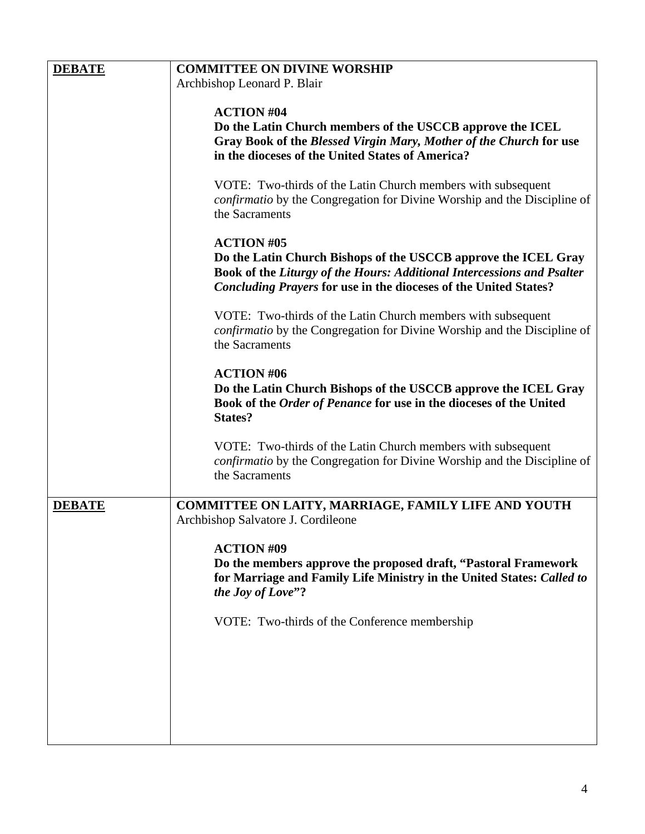| <b>DEBATE</b> | <b>COMMITTEE ON DIVINE WORSHIP</b>                                              |
|---------------|---------------------------------------------------------------------------------|
|               | Archbishop Leonard P. Blair                                                     |
|               |                                                                                 |
|               | <b>ACTION #04</b>                                                               |
|               | Do the Latin Church members of the USCCB approve the ICEL                       |
|               | Gray Book of the Blessed Virgin Mary, Mother of the Church for use              |
|               | in the dioceses of the United States of America?                                |
|               |                                                                                 |
|               | VOTE: Two-thirds of the Latin Church members with subsequent                    |
|               | <i>confirmatio</i> by the Congregation for Divine Worship and the Discipline of |
|               | the Sacraments                                                                  |
|               |                                                                                 |
|               | <b>ACTION #05</b>                                                               |
|               | Do the Latin Church Bishops of the USCCB approve the ICEL Gray                  |
|               | Book of the Liturgy of the Hours: Additional Intercessions and Psalter          |
|               | <b>Concluding Prayers for use in the dioceses of the United States?</b>         |
|               |                                                                                 |
|               | VOTE: Two-thirds of the Latin Church members with subsequent                    |
|               | <i>confirmatio</i> by the Congregation for Divine Worship and the Discipline of |
|               | the Sacraments                                                                  |
|               |                                                                                 |
|               | <b>ACTION #06</b>                                                               |
|               | Do the Latin Church Bishops of the USCCB approve the ICEL Gray                  |
|               | Book of the Order of Penance for use in the dioceses of the United              |
|               | <b>States?</b>                                                                  |
|               |                                                                                 |
|               | VOTE: Two-thirds of the Latin Church members with subsequent                    |
|               | <i>confirmatio</i> by the Congregation for Divine Worship and the Discipline of |
|               | the Sacraments                                                                  |
|               |                                                                                 |
| <b>DEBATE</b> | COMMITTEE ON LAITY, MARRIAGE, FAMILY LIFE AND YOUTH                             |
|               | Archbishop Salvatore J. Cordileone                                              |
|               |                                                                                 |
|               | <b>ACTION #09</b>                                                               |
|               | Do the members approve the proposed draft, "Pastoral Framework"                 |
|               | for Marriage and Family Life Ministry in the United States: Called to           |
|               | the Joy of Love"?                                                               |
|               |                                                                                 |
|               | VOTE: Two-thirds of the Conference membership                                   |
|               |                                                                                 |
|               |                                                                                 |
|               |                                                                                 |
|               |                                                                                 |
|               |                                                                                 |
|               |                                                                                 |
|               |                                                                                 |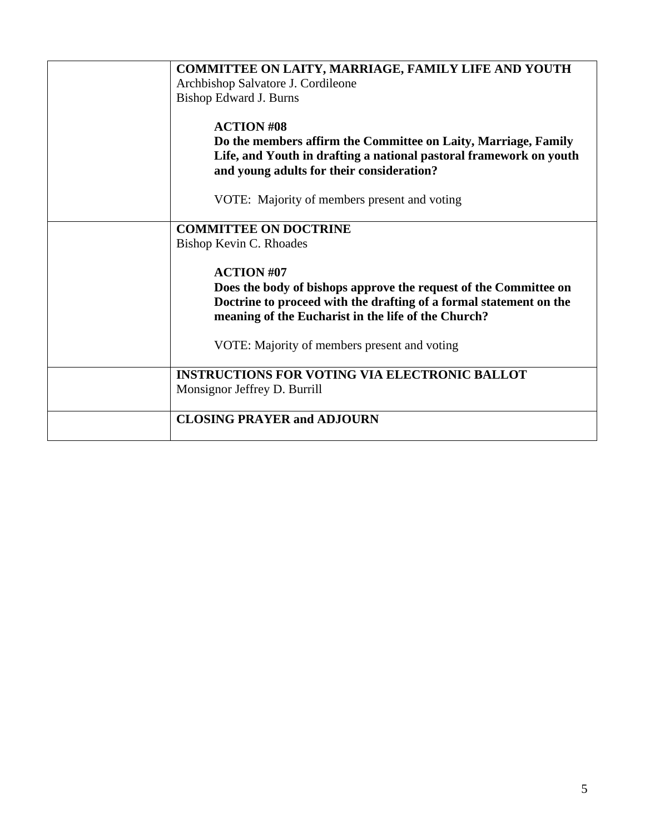| COMMITTEE ON LAITY, MARRIAGE, FAMILY LIFE AND YOUTH<br>Archbishop Salvatore J. Cordileone<br><b>Bishop Edward J. Burns</b>                                                                                         |
|--------------------------------------------------------------------------------------------------------------------------------------------------------------------------------------------------------------------|
| <b>ACTION #08</b><br>Do the members affirm the Committee on Laity, Marriage, Family<br>Life, and Youth in drafting a national pastoral framework on youth<br>and young adults for their consideration?             |
| VOTE: Majority of members present and voting                                                                                                                                                                       |
| <b>COMMITTEE ON DOCTRINE</b>                                                                                                                                                                                       |
| Bishop Kevin C. Rhoades                                                                                                                                                                                            |
| <b>ACTION #07</b><br>Does the body of bishops approve the request of the Committee on<br>Doctrine to proceed with the drafting of a formal statement on the<br>meaning of the Eucharist in the life of the Church? |
| VOTE: Majority of members present and voting                                                                                                                                                                       |
| <b>INSTRUCTIONS FOR VOTING VIA ELECTRONIC BALLOT</b><br>Monsignor Jeffrey D. Burrill                                                                                                                               |
| <b>CLOSING PRAYER and ADJOURN</b>                                                                                                                                                                                  |